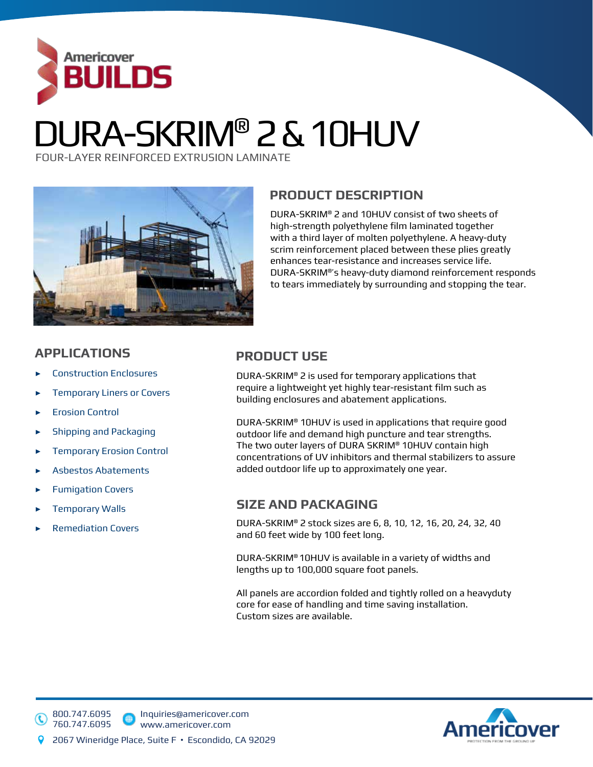

# DURA-SKRIM® 2 & 10HUV

FOUR-LAYER REINFORCED EXTRUSION LAMINATE



### **PRODUCT DESCRIPTION**

DURA-SKRIM® 2 and 10HUV consist of two sheets of high-strength polyethylene film laminated together with a third layer of molten polyethylene. A heavy-duty scrim reinforcement placed between these plies greatly enhances tear-resistance and increases service life. DURA-SKRIM®'s heavy-duty diamond reinforcement responds to tears immediately by surrounding and stopping the tear.

### **APPLICATIONS PRODUCT USE**

- ▶ Construction Enclosures<br>DUF
- requent or Covers دو Temporary Liners or Covers
- ▶ Erosion Control
- **Shipping and Packaging**
- ▶ Temporary Erosion Control
- ▶ Asbestos Abatements
- ▶ Fumigation Covers
- ▶ Temporary Walls
- ▶ Remediation Covers

800.747.6095 760.747.6095

DURA-SKRIM® 2 is used for temporary applications that require a lightweight yet highly tear-resistant film such as building enclosures and abatement applications.

DURA-SKRIM® 10HUV is used in applications that require good outdoor life and demand high puncture and tear strengths. The two outer layers of DURA SKRIM® 10HUV contain high concentrations of UV inhibitors and thermal stabilizers to assure added outdoor life up to approximately one year.

### **SIZE AND PACKAGING**

DURA-SKRIM® 2 stock sizes are 6, 8, 10, 12, 16, 20, 24, 32, 40 and 60 feet wide by 100 feet long.

DURA-SKRIM® 10HUV is available in a variety of widths and lengths up to 100,000 square foot panels.

All panels are accordion folded and tightly rolled on a heavyduty core for ease of handling and time saving installation. Custom sizes are available.



Inquiries@americover.com www.americover.com